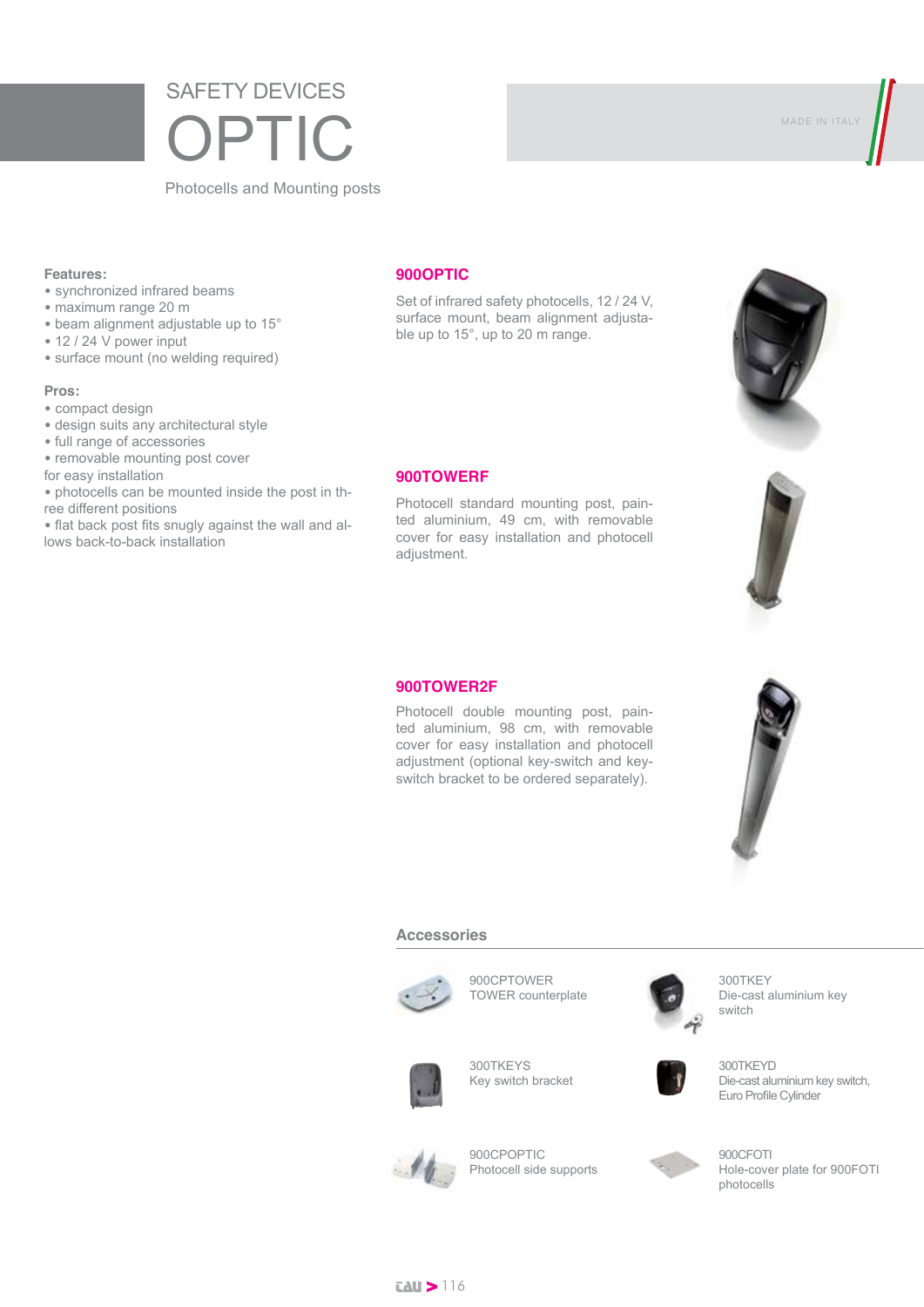# SAFETY DEVICES OPTIC

Photocells and Mounting posts

### **Features:**

- synchronized infrared beams
- maximum range 20 m
- beam alignment adjustable up to 15°
- 12 / 24 V power input
- surface mount (no welding required)

### **Pros:**

- compact design
- design suits any architectural style
- full range of accessories
- removable mounting post cover
- for easy installation

• photocells can be mounted inside the post in three different positions

• flat back post fits snugly against the wall and allows back-to-back installation

### **900OPTIC**

Set of infrared safety photocells, 12 / 24 V, surface mount, beam alignment adjustable up to 15°, up to 20 m range.

### **900TOWERF**

Photocell standard mounting post, painted aluminium, 49 cm, with removable cover for easy installation and photocell adjustment.

### **900TOWER2F**

Photocell double mounting post, painted aluminium, 98 cm, with removable cover for easy installation and photocell adjustment (optional key-switch and keyswitch bracket to be ordered separately).

#### **Accessories**



900CPTOWER TOWER counterplate



300TKEY Die-cast aluminium key switch



300TKEYS Key switch bracket





900CPOPTIC Photocell side supports